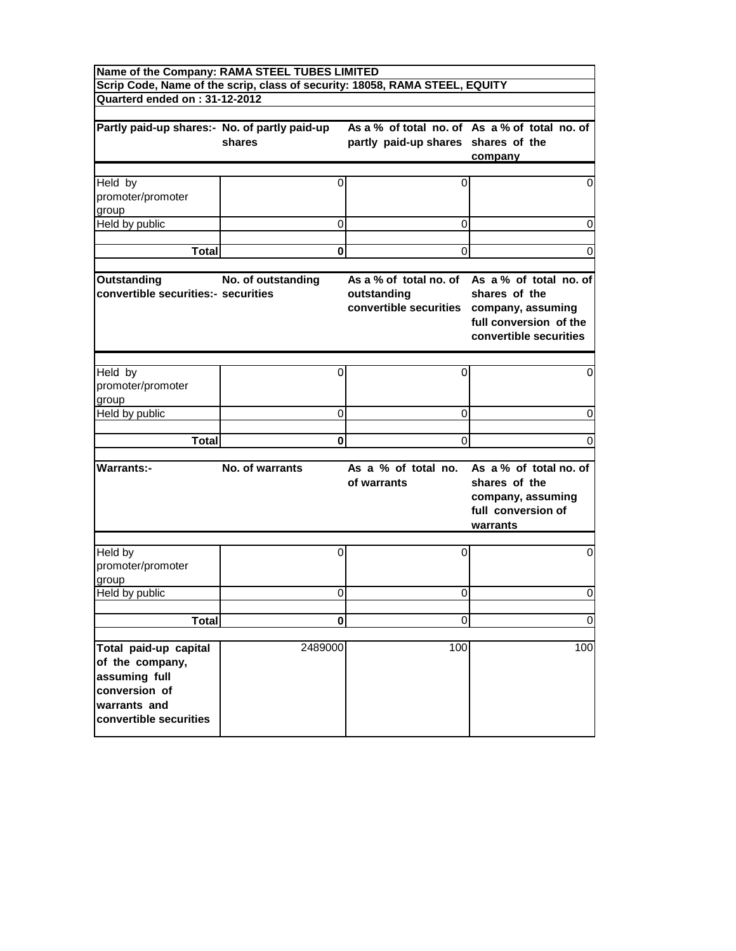| Name of the Company: RAMA STEEL TUBES LIMITED                                                                        |                                                                             |                                                                                   |                                                                                                                    |
|----------------------------------------------------------------------------------------------------------------------|-----------------------------------------------------------------------------|-----------------------------------------------------------------------------------|--------------------------------------------------------------------------------------------------------------------|
| Quarterd ended on: 31-12-2012                                                                                        | Scrip Code, Name of the scrip, class of security: 18058, RAMA STEEL, EQUITY |                                                                                   |                                                                                                                    |
|                                                                                                                      |                                                                             |                                                                                   |                                                                                                                    |
| Partly paid-up shares:- No. of partly paid-up                                                                        | shares                                                                      | partly paid-up shares shares of the                                               | As a % of total no. of As a % of total no. of<br>company                                                           |
| Held by<br>promoter/promoter<br>group                                                                                | 0                                                                           | 0                                                                                 | 0                                                                                                                  |
| Held by public                                                                                                       | 0                                                                           | 0                                                                                 | 0                                                                                                                  |
| <b>Total</b>                                                                                                         | 0                                                                           | 0                                                                                 | 0                                                                                                                  |
| <b>Outstanding</b><br>convertible securities:- securities                                                            | No. of outstanding                                                          | As a % of total no, of<br>outstanding<br>convertible securities company, assuming | As a % of total no. of<br>shares of the<br>full conversion of the<br>convertible securities                        |
| Held by<br>promoter/promoter<br>group                                                                                | 0                                                                           | 0                                                                                 | 0                                                                                                                  |
| Held by public                                                                                                       | 0                                                                           | 0                                                                                 | 0                                                                                                                  |
|                                                                                                                      |                                                                             |                                                                                   |                                                                                                                    |
| <b>Total</b>                                                                                                         | 0                                                                           | 0                                                                                 | 0                                                                                                                  |
| <b>Warrants:-</b>                                                                                                    | No. of warrants                                                             | of warrants                                                                       | As a % of total no. As a % of total no. of<br>shares of the<br>company, assuming<br>full conversion of<br>warrants |
| Held by<br>promoter/promoter<br>group                                                                                | 0                                                                           | $\Omega$                                                                          | 0                                                                                                                  |
| Held by public                                                                                                       | 0                                                                           | 0                                                                                 | 0                                                                                                                  |
| <b>Total</b>                                                                                                         | $\mathbf{0}$                                                                | $\Omega$                                                                          | $\mathbf 0$                                                                                                        |
|                                                                                                                      |                                                                             |                                                                                   |                                                                                                                    |
| Total paid-up capital<br>of the company,<br>assuming full<br>conversion of<br>warrants and<br>convertible securities | 2489000                                                                     | 100                                                                               | 100                                                                                                                |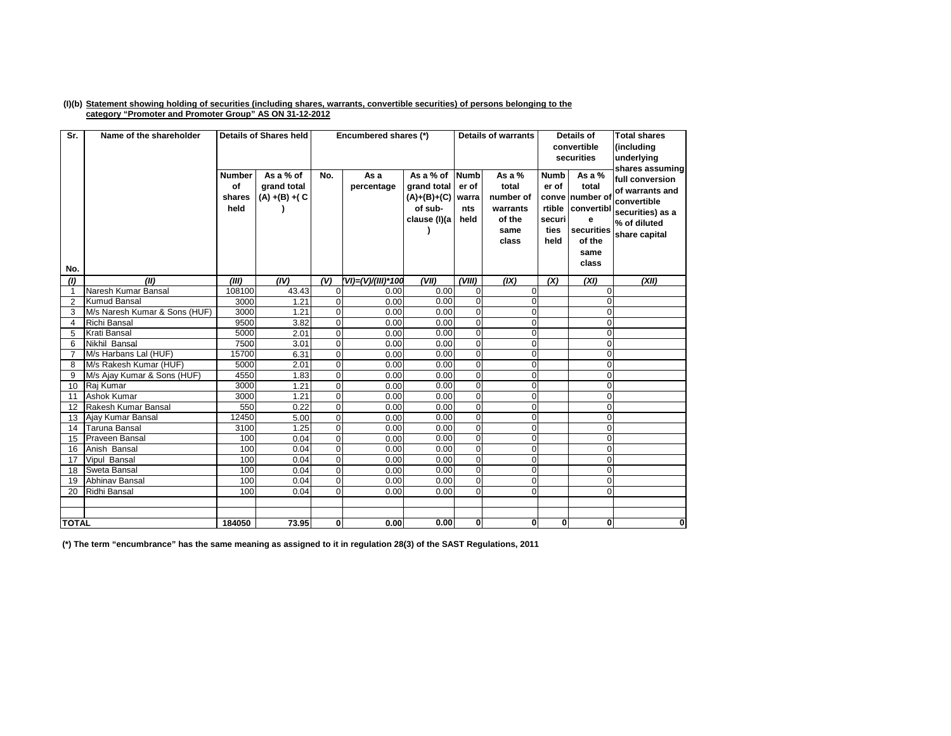## (I)(b) Statement showing holding of securities (including shares, warrants, convertible securities) of persons belonging to the **category "Promoter and Promoter Group" AS ON 31-12-2012**

| Sr.            | Name of the shareholder       |                                       | <b>Details of Shares held</b>                 |                | Encumbered shares (*) |                                                                    | <b>Details of warrants</b>                   |                                                                       |                                                | Details of<br>convertible<br>securities                                                               | <b>Total shares</b><br>(including<br>underlying<br>shares assuming                                     |
|----------------|-------------------------------|---------------------------------------|-----------------------------------------------|----------------|-----------------------|--------------------------------------------------------------------|----------------------------------------------|-----------------------------------------------------------------------|------------------------------------------------|-------------------------------------------------------------------------------------------------------|--------------------------------------------------------------------------------------------------------|
| No.            |                               | <b>Number</b><br>of<br>shares<br>held | As a % of<br>grand total<br>$(A) + (B) + (C)$ | No.            | As a<br>percentage    | As a % of<br>grand total<br>(A)+(B)+(C)<br>of sub-<br>clause (I)(a | <b>Numb</b><br>er of<br>warra<br>nts<br>held | As a $%$<br>total<br>number of<br>warrants<br>of the<br>same<br>class | <b>Numb</b><br>er of<br>securi<br>ties<br>held | As a %<br>total<br>conve number of<br>rtible convertibl<br>е<br>securities<br>of the<br>same<br>class | full conversion<br>of warrants and<br>convertible<br>securities) as a<br>% of diluted<br>share capital |
| (1)            | (III)                         | (III)                                 | (IV)                                          | (V)            | (VI)=(V)/(III)*100    | (VII)                                                              | (VIII)                                       | (IX)                                                                  | (X)                                            | (XI)                                                                                                  | (XII)                                                                                                  |
| $\mathbf{1}$   | Naresh Kumar Bansal           | 108100                                | 43.43                                         | $\overline{0}$ | 0.00                  | 0.00                                                               | $\overline{0}$                               | $\Omega$                                                              |                                                | $\Omega$                                                                                              |                                                                                                        |
| 2              | <b>Kumud Bansal</b>           | 3000                                  | 1.21                                          | $\overline{0}$ | 0.00                  | 0.00                                                               | $\overline{0}$                               | $\Omega$                                                              |                                                | U                                                                                                     |                                                                                                        |
| 3              | M/s Naresh Kumar & Sons (HUF) | 3000                                  | 1.21                                          | $\overline{0}$ | 0.00                  | 0.00                                                               | $\overline{0}$                               | $\Omega$                                                              |                                                | $\Omega$                                                                                              |                                                                                                        |
| $\overline{4}$ | <b>Richi Bansal</b>           | 9500                                  | 3.82                                          | $\overline{0}$ | 0.00                  | 0.00                                                               | $\overline{0}$                               | $\Omega$                                                              |                                                | $\Omega$                                                                                              |                                                                                                        |
| 5              | <b>Krati Bansal</b>           | 5000                                  | 2.01                                          | $\overline{0}$ | 0.00                  | 0.00                                                               | $\overline{0}$                               | $\Omega$                                                              |                                                | $\Omega$                                                                                              |                                                                                                        |
| 6              | Nikhil Bansal                 | 7500                                  | 3.01                                          | $\overline{0}$ | 0.00                  | 0.00                                                               | O                                            | $\Omega$                                                              |                                                | $\Omega$                                                                                              |                                                                                                        |
| 7              | M/s Harbans Lal (HUF)         | 15700                                 | 6.31                                          | $\overline{0}$ | 0.00                  | 0.00                                                               | $\overline{0}$                               | $\Omega$                                                              |                                                | $\Omega$                                                                                              |                                                                                                        |
| 8              | M/s Rakesh Kumar (HUF)        | 5000                                  | 2.01                                          | $\overline{0}$ | 0.00                  | 0.00                                                               | $\overline{0}$                               | $\Omega$                                                              |                                                | $\Omega$                                                                                              |                                                                                                        |
| 9              | M/s Ajay Kumar & Sons (HUF)   | 4550                                  | 1.83                                          | $\overline{0}$ | 0.00                  | 0.00                                                               | $\overline{0}$                               | $\Omega$                                                              |                                                | $\Omega$                                                                                              |                                                                                                        |
| 10             | Raj Kumar                     | 3000                                  | 1.21                                          | $\Omega$       | 0.00                  | 0.00                                                               | $\overline{0}$                               | $\Omega$                                                              |                                                | $\Omega$                                                                                              |                                                                                                        |
| 11             | Ashok Kumar                   | 3000                                  | 1.21                                          | $\Omega$       | 0.00                  | 0.00                                                               | $\overline{0}$                               | $\Omega$                                                              |                                                | $\Omega$                                                                                              |                                                                                                        |
| 12             | Rakesh Kumar Bansal           | 550                                   | 0.22                                          | $\mathbf{0}$   | 0.00                  | 0.00                                                               | $\overline{0}$                               | $\Omega$                                                              |                                                | $\Omega$                                                                                              |                                                                                                        |
| 13             | Ajay Kumar Bansal             | 12450                                 | 5.00                                          | $\Omega$       | 0.00                  | 0.00                                                               | $\overline{0}$                               | $\Omega$                                                              |                                                | $\Omega$                                                                                              |                                                                                                        |
| 14             | <b>Taruna Bansal</b>          | 3100                                  | 1.25                                          | $\mathbf{0}$   | 0.00                  | 0.00                                                               | $\overline{0}$                               | $\Omega$                                                              |                                                | $\Omega$                                                                                              |                                                                                                        |
| 15             | <b>Praveen Bansal</b>         | 100                                   | 0.04                                          | $\Omega$       | 0.00                  | 0.00                                                               | $\overline{0}$                               | $\Omega$                                                              |                                                | $\Omega$                                                                                              |                                                                                                        |
| 16             | Anish Bansal                  | 100                                   | 0.04                                          | $\overline{0}$ | 0.00                  | 0.00                                                               | $\overline{0}$                               | $\Omega$                                                              |                                                | $\Omega$                                                                                              |                                                                                                        |
| 17             | Vipul Bansal                  | 100                                   | 0.04                                          | $\mathbf{0}$   | 0.00                  | 0.00                                                               | $\overline{0}$                               | $\Omega$                                                              |                                                | $\Omega$                                                                                              |                                                                                                        |
| 18             | Sweta Bansal                  | 100                                   | 0.04                                          | $\Omega$       | 0.00                  | 0.00                                                               | $\overline{0}$                               | $\Omega$                                                              |                                                | $\Omega$                                                                                              |                                                                                                        |
| 19             | <b>Abhinav Bansal</b>         | 100                                   | 0.04                                          | $\Omega$       | 0.00                  | 0.00                                                               | $\overline{0}$                               | $\Omega$                                                              |                                                | $\Omega$                                                                                              |                                                                                                        |
| 20             | Ridhi Bansal                  | 100                                   | 0.04                                          | $\Omega$       | 0.00                  | 0.00                                                               | $\Omega$                                     | $\Omega$                                                              |                                                | $\Omega$                                                                                              |                                                                                                        |
|                |                               |                                       |                                               |                |                       |                                                                    |                                              |                                                                       |                                                |                                                                                                       |                                                                                                        |
|                |                               |                                       |                                               |                |                       |                                                                    |                                              |                                                                       |                                                |                                                                                                       |                                                                                                        |
| <b>TOTAL</b>   |                               | 184050                                | 73.95                                         | $\mathbf{0}$   | 0.00                  | 0.00                                                               | $\mathbf{0}$                                 | 0                                                                     | $\mathbf{0}$                                   | $\mathbf{0}$                                                                                          | 0                                                                                                      |

(\*) The term "encumbrance" has the same meaning as assigned to it in regulation 28(3) of the SAST Regulations, 2011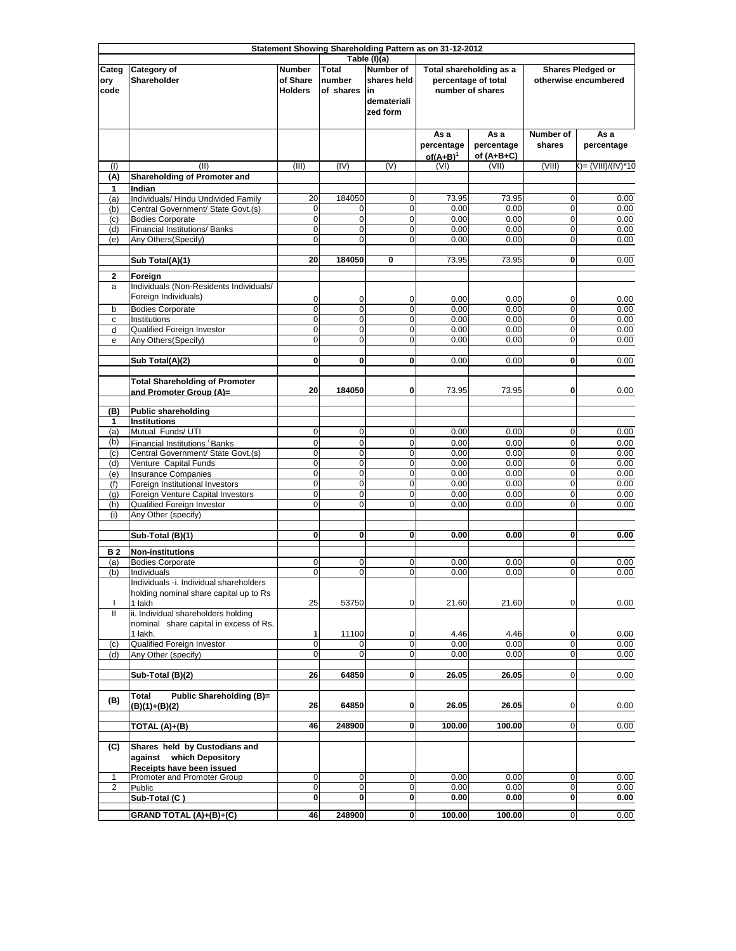|                              | Statement Showing Shareholding Pattern as on 31-12-2012                                |                                             |                                     |                                                                                   |                                                                    |                                    |                                           |                    |  |
|------------------------------|----------------------------------------------------------------------------------------|---------------------------------------------|-------------------------------------|-----------------------------------------------------------------------------------|--------------------------------------------------------------------|------------------------------------|-------------------------------------------|--------------------|--|
| Categ<br>ory<br>code         | Category of<br>Shareholder                                                             | <b>Number</b><br>of Share<br><b>Holders</b> | <b>Total</b><br>number<br>of shares | Table (I)(a)<br><b>Number of</b><br>shares held<br>lin<br>demateriali<br>zed form | Total shareholding as a<br>percentage of total<br>number of shares |                                    | Shares Pledged or<br>otherwise encumbered |                    |  |
|                              |                                                                                        |                                             |                                     |                                                                                   | As a<br>percentage<br>$of(A+B)^1$                                  | As a<br>percentage<br>of $(A+B+C)$ | Number of<br>shares                       | As a<br>percentage |  |
| (1)<br>(A)                   | (II)<br><b>Shareholding of Promoter and</b>                                            | (III)                                       | (IV)                                | (V)                                                                               | (VI)                                                               | (VII)                              | (VIII)                                    | ()= (VIII)/(IV)*10 |  |
| 1                            | Indian                                                                                 |                                             |                                     |                                                                                   |                                                                    |                                    |                                           |                    |  |
| (a)<br>(b)                   | Individuals/ Hindu Undivided Family<br>Central Government/ State Govt.(s)              | 20<br>0                                     | 184050<br>0                         | 0<br>0                                                                            | 73.95<br>0.00                                                      | 73.95<br>0.00                      | 0<br>0                                    | 0.00<br>0.00       |  |
| (c)                          | <b>Bodies Corporate</b>                                                                | $\mathbf 0$                                 | $\mathbf 0$                         | 0                                                                                 | 0.00                                                               | 0.00                               | $\mathbf 0$                               | 0.00               |  |
| (d)<br>(e)                   | Financial Institutions/ Banks<br>Any Others(Specify)                                   | $\overline{0}$<br>0                         | $\mathbf 0$<br>$\mathbf 0$          | $\mathbf 0$<br>$\mathbf 0$                                                        | 0.00<br>0.00                                                       | 0.00<br>0.00                       | $\mathbf 0$<br>$\mathbf 0$                | 0.00<br>0.00       |  |
|                              |                                                                                        |                                             |                                     |                                                                                   |                                                                    |                                    |                                           |                    |  |
|                              | Sub Total(A)(1)                                                                        | 20                                          | 184050                              | 0                                                                                 | 73.95                                                              | 73.95                              | $\mathbf 0$                               | 0.00               |  |
| $\mathbf{2}$<br>a            | Foreign<br>Individuals (Non-Residents Individuals/<br>Foreign Individuals)             | 0                                           | 0                                   | 0                                                                                 | 0.00                                                               | 0.00                               | 0                                         | 0.00               |  |
| b<br>с                       | <b>Bodies Corporate</b><br>Institutions                                                | 0<br>$\mathbf 0$                            | $\overline{0}$<br>$\mathbf 0$       | $\overline{0}$<br>$\mathbf 0$                                                     | 0.00<br>0.00                                                       | 0.00<br>0.00                       | $\mathbf 0$<br>$\mathbf 0$                | 0.00<br>0.00       |  |
| d                            | Qualified Foreign Investor                                                             | $\mathbf 0$                                 | $\mathbf 0$                         | $\mathbf 0$                                                                       | 0.00                                                               | 0.00                               | $\mathbf 0$                               | 0.00               |  |
| e                            | Any Others (Specify)                                                                   | $\mathbf 0$                                 | $\mathbf 0$                         | 0                                                                                 | 0.00                                                               | 0.00                               | $\mathbf 0$                               | 0.00               |  |
|                              | Sub Total(A)(2)                                                                        | $\mathbf{0}$                                | 0                                   | 0                                                                                 | 0.00                                                               | 0.00                               | 0                                         | 0.00               |  |
|                              | <b>Total Shareholding of Promoter</b><br>and Promoter Group (A)=                       | 20                                          | 184050                              | 0                                                                                 | 73.95                                                              | 73.95                              | 0                                         | 0.00               |  |
| (B)                          | <b>Public shareholding</b>                                                             |                                             |                                     |                                                                                   |                                                                    |                                    |                                           |                    |  |
| 1<br>(a)                     | <b>Institutions</b><br>Mutual Funds/ UTI                                               | $\mathbf 0$                                 | $\mathbf 0$                         | $\mathbf 0$                                                                       | 0.00                                                               | 0.00                               | $\mathbf 0$                               | 0.00               |  |
| (b)                          | Financial Institutions Banks                                                           | $\mathbf 0$                                 | $\mathbf 0$                         | $\mathbf 0$                                                                       | 0.00                                                               | 0.00                               | $\mathbf 0$                               | 0.00               |  |
| (c)                          | Central Government/ State Govt.(s)                                                     | $\mathbf 0$                                 | $\mathbf 0$                         | 0                                                                                 | 0.00                                                               | 0.00                               | $\mathbf 0$                               | 0.00               |  |
| (d)<br>(e)                   | Venture Capital Funds<br><b>Insurance Companies</b>                                    | $\mathbf 0$<br>O                            | $\mathbf 0$<br>$\mathbf 0$          | $\mathbf 0$<br>$\mathbf 0$                                                        | 0.00<br>0.00                                                       | 0.00<br>0.00                       | $\mathbf 0$<br>$\mathbf 0$                | 0.00<br>0.00       |  |
| (f)                          | Foreign Institutional Investors                                                        | O                                           | $\pmb{0}$                           | 0                                                                                 | 0.00                                                               | 0.00                               | $\mathbf 0$                               | 0.00               |  |
| (q)                          | Foreign Venture Capital Investors                                                      | O                                           | $\overline{0}$                      | $\mathbf 0$                                                                       | 0.00                                                               | 0.00                               | $\mathbf 0$                               | 0.00               |  |
| (h)<br>(i)                   | Qualified Foreign Investor<br>Any Other (specify)                                      | $\overline{0}$                              | $\mathbf 0$                         | $\mathbf 0$                                                                       | 0.00                                                               | 0.00                               | $\mathbf 0$                               | 0.00               |  |
|                              | Sub-Total (B)(1)                                                                       | $\mathbf 0$                                 | 0                                   | 0                                                                                 | 0.00                                                               | 0.00                               | 0                                         | 0.00               |  |
| <b>B2</b>                    | <b>Non-institutions</b>                                                                |                                             |                                     |                                                                                   |                                                                    |                                    |                                           |                    |  |
| (a)<br>(b)                   | <b>Bodies Corporate</b><br>Individuals                                                 | $\mathbf 0$<br>$\overline{0}$               | 0<br>0                              | 0<br>0                                                                            | 0.00<br>0.00                                                       | 0.00<br>0.00                       | 0<br>0                                    | 0.00<br>0.00       |  |
|                              | Individuals -i. Individual shareholders                                                |                                             |                                     |                                                                                   |                                                                    |                                    |                                           |                    |  |
| T                            | holding nominal share capital up to Rs<br>1 lakh                                       | 25                                          | 53750                               | 0                                                                                 | 21.60                                                              | 21.60                              | $\mathbf 0$                               | 0.00               |  |
| Ш                            | ii. Individual shareholders holding<br>nominal share capital in excess of Rs.          |                                             |                                     |                                                                                   |                                                                    |                                    |                                           |                    |  |
| (c)                          | 1 lakh.<br>Qualified Foreign Investor                                                  | 1<br>$\mathbf 0$                            | 11100                               | 0<br>0                                                                            | 4.46<br>0.00                                                       | 4.46<br>0.00                       | 0<br>$\mathbf 0$                          | 0.00<br>0.00       |  |
| (d)                          | Any Other (specify)                                                                    | 0                                           | 0                                   | 0                                                                                 | 0.00                                                               | 0.00                               | 0                                         | 0.00               |  |
|                              | Sub-Total (B)(2)                                                                       | 26                                          | 64850                               | 0                                                                                 | 26.05                                                              | 26.05                              | $\mathbf 0$                               | 0.00               |  |
| (B)                          | Public Shareholding (B)=<br><b>Total</b><br>(B)(1)+(B)(2)                              | 26                                          | 64850                               | 0                                                                                 | 26.05                                                              | 26.05                              | 0                                         | 0.00               |  |
|                              | TOTAL (A)+(B)                                                                          | 46                                          | 248900                              | 0                                                                                 | 100.00                                                             | 100.00                             | $\overline{0}$                            | 0.00               |  |
| (C)                          | Shares held by Custodians and<br>against which Depository<br>Receipts have been issued |                                             |                                     |                                                                                   |                                                                    |                                    |                                           |                    |  |
| 1<br>$\overline{\mathbf{c}}$ | Promoter and Promoter Group<br>Public                                                  | $\mathbf 0$<br>$\mathbf 0$                  | $\mathbf 0$<br>0                    | 0<br>0                                                                            | 0.00<br>0.00                                                       | 0.00<br>0.00                       | $\mathbf 0$<br>0                          | 0.00<br>0.00       |  |
|                              | Sub-Total (C)                                                                          | 0                                           | 0                                   | 0                                                                                 | 0.00                                                               | 0.00                               | $\mathbf{0}$                              | 0.00               |  |
|                              | GRAND TOTAL (A)+(B)+(C)                                                                | 46                                          | 248900                              | 0                                                                                 | 100.00                                                             | 100.00                             | $\mathbf 0$                               | 0.00               |  |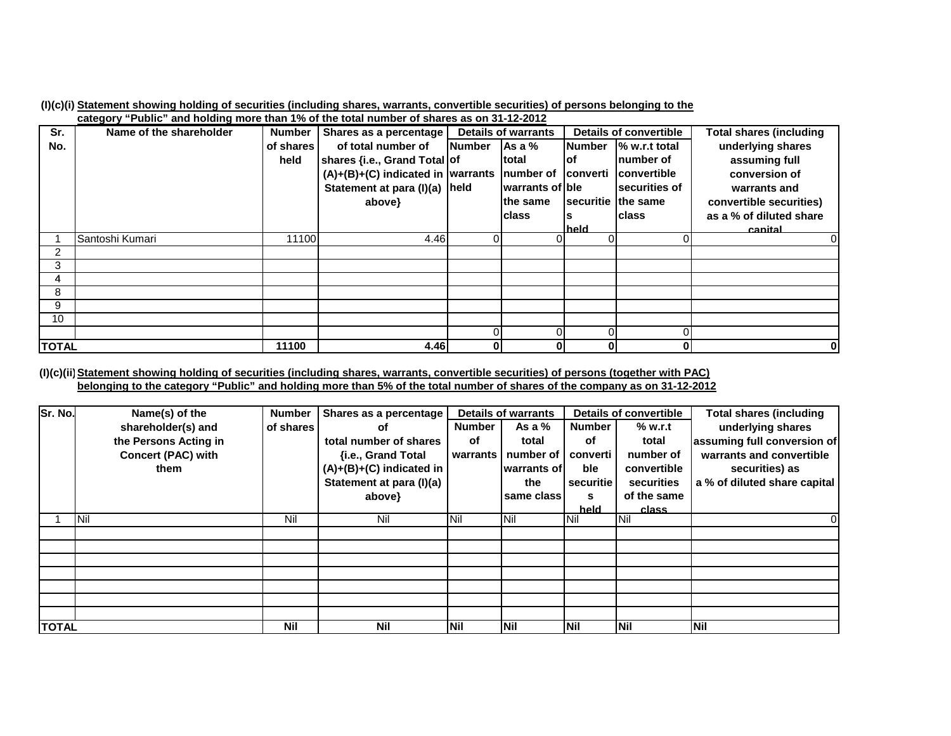| (I)(c)(i) Statement showing holding of securities (including shares, warrants, convertible securities) of persons belonging to the |  |  |  |  |
|------------------------------------------------------------------------------------------------------------------------------------|--|--|--|--|
| and one of the light and halding mean than 40/ of the total number of above a on 04, 40, 0040.                                     |  |  |  |  |

|              | $\overline{\text{c}}$ ategory "Public" and noiging more than 1% of the total number of shares as on 31-12-2012 |               |                                                        |               |                            |               |                        |                         |
|--------------|----------------------------------------------------------------------------------------------------------------|---------------|--------------------------------------------------------|---------------|----------------------------|---------------|------------------------|-------------------------|
| Sr.          | Name of the shareholder                                                                                        | <b>Number</b> | Shares as a percentage                                 |               | <b>Details of warrants</b> |               | Details of convertible | Total shares (including |
| No.          |                                                                                                                | of shares     | of total number of                                     | <b>Number</b> | Asa%                       | <b>Number</b> | % w.r.t total          | underlying shares       |
|              |                                                                                                                | held          | shares {i.e., Grand Total of                           |               | Itotal                     | lof           | Inumber of             | assuming full           |
|              |                                                                                                                |               | $(A)+(B)+(C)$ indicated in warrants number of converti |               |                            |               | <b>Convertible</b>     | conversion of           |
|              |                                                                                                                |               | Statement at para (I)(a) held                          |               | warrants of ble            |               | securities of          | warrants and            |
|              |                                                                                                                |               | above}                                                 |               | lthe same                  |               | securitie the same     | convertible securities) |
|              |                                                                                                                |               |                                                        |               | Iclass                     |               | <b>Iclass</b>          | as a % of diluted share |
|              |                                                                                                                |               |                                                        |               |                            | held          |                        | canital                 |
|              | Santoshi Kumari                                                                                                | 11100         | 4.46                                                   | 0             | 0                          |               |                        |                         |
| 2            |                                                                                                                |               |                                                        |               |                            |               |                        |                         |
| 3            |                                                                                                                |               |                                                        |               |                            |               |                        |                         |
| 4            |                                                                                                                |               |                                                        |               |                            |               |                        |                         |
| 8            |                                                                                                                |               |                                                        |               |                            |               |                        |                         |
| 9            |                                                                                                                |               |                                                        |               |                            |               |                        |                         |
| 10           |                                                                                                                |               |                                                        |               |                            |               |                        |                         |
|              |                                                                                                                |               |                                                        |               | 0                          |               |                        |                         |
| <b>TOTAL</b> |                                                                                                                | 11100         | 4.46                                                   | $\mathbf{0}$  | 0                          | 01            | 0                      | $\bf{0}$                |

(I)(c)(ii) <u>Statement showing holding of securities (including shares, warrants, convertible securities) of persons (together with PAC)</u> <u>belonging to the category "Public" and holding more than 5% of the total number of shares of the company as on 31-12-2012</u>

| Sr. No.      | Name(s) of the            | <b>Number</b> | Shares as a percentage     | <b>Details of warrants</b> |             | <b>Details of convertible</b> |             | <b>Total shares (including</b> |
|--------------|---------------------------|---------------|----------------------------|----------------------------|-------------|-------------------------------|-------------|--------------------------------|
|              | shareholder(s) and        | of shares     | οf                         | <b>Number</b>              | As a $%$    | <b>Number</b>                 | % w.r.t     | underlying shares              |
|              | the Persons Acting in     |               | total number of shares     | оf                         | total       | оf                            | total       | assuming full conversion of    |
|              | <b>Concert (PAC) with</b> |               | {i.e., Grand Total         | warrants                   | number of   | converti                      | number of   | warrants and convertible       |
|              | them                      |               | $(A)+(B)+(C)$ indicated in |                            | warrants of | ble                           | convertible | securities) as                 |
|              |                           |               | Statement at para (I)(a)   |                            | the         | securitie                     | securities  | a % of diluted share capital   |
|              |                           |               | above}                     |                            | same class  | s                             | of the same |                                |
|              |                           |               |                            |                            |             | held                          | class       |                                |
|              | <b>INil</b>               | Nil           | Nil                        | <b>INil</b>                | <b>Nil</b>  | <b>Nil</b>                    | <b>Nil</b>  | 0                              |
|              |                           |               |                            |                            |             |                               |             |                                |
|              |                           |               |                            |                            |             |                               |             |                                |
|              |                           |               |                            |                            |             |                               |             |                                |
|              |                           |               |                            |                            |             |                               |             |                                |
|              |                           |               |                            |                            |             |                               |             |                                |
|              |                           |               |                            |                            |             |                               |             |                                |
|              |                           |               |                            |                            |             |                               |             |                                |
| <b>TOTAL</b> |                           | <b>Nil</b>    | <b>Nil</b>                 | <b>INil</b>                | <b>Nil</b>  | <b>INil</b>                   | Nil         | <b>Nil</b>                     |